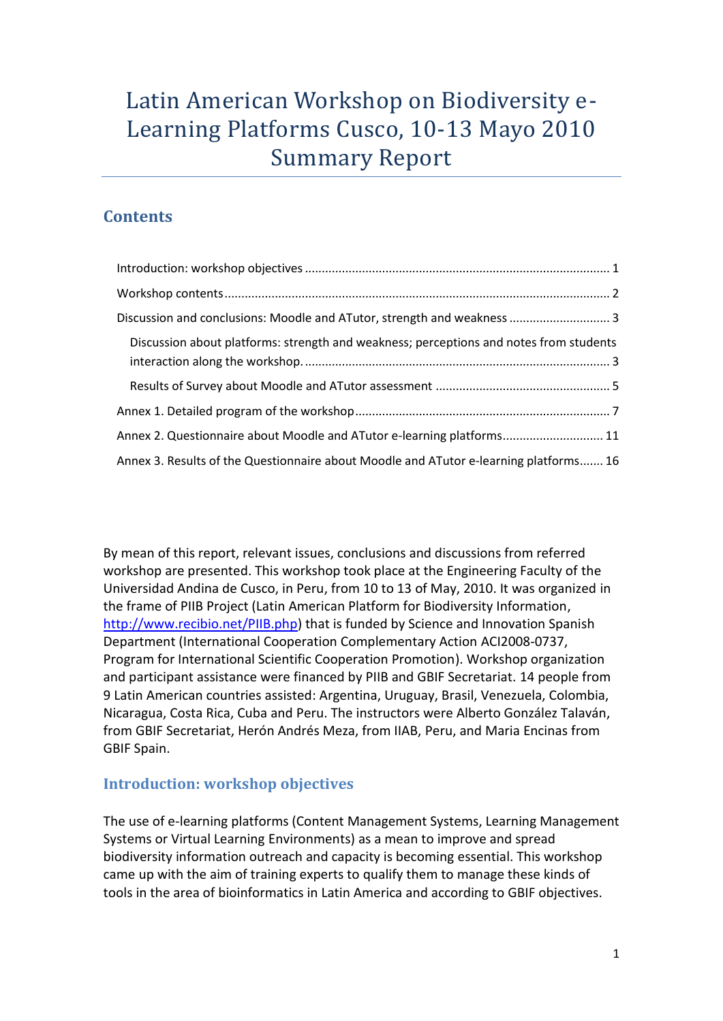# Latin American Workshop on Biodiversity e-Learning Platforms Cusco, 10-13 Mayo 2010 Summary Report

## **Contents**

| Discussion and conclusions: Moodle and ATutor, strength and weakness  3                |
|----------------------------------------------------------------------------------------|
| Discussion about platforms: strength and weakness; perceptions and notes from students |
|                                                                                        |
|                                                                                        |
| Annex 2. Questionnaire about Moodle and ATutor e-learning platforms 11                 |
| Annex 3. Results of the Questionnaire about Moodle and ATutor e-learning platforms 16  |

By mean of this report, relevant issues, conclusions and discussions from referred workshop are presented. This workshop took place at the Engineering Faculty of the Universidad Andina de Cusco, in Peru, from 10 to 13 of May, 2010. It was organized in the frame of PIIB Project (Latin American Platform for Biodiversity Information, [http://www.recibio.net/PIIB.php\)](http://www.recibio.net/PIIB.php) that is funded by Science and Innovation Spanish Department (International Cooperation Complementary Action ACI2008-0737, Program for International Scientific Cooperation Promotion). Workshop organization and participant assistance were financed by PIIB and GBIF Secretariat. 14 people from 9 Latin American countries assisted: Argentina, Uruguay, Brasil, Venezuela, Colombia, Nicaragua, Costa Rica, Cuba and Peru. The instructors were Alberto González Talaván, from GBIF Secretariat, Herón Andrés Meza, from IIAB, Peru, and Maria Encinas from GBIF Spain.

## <span id="page-0-0"></span>**Introduction: workshop objectives**

The use of e-learning platforms (Content Management Systems, Learning Management Systems or Virtual Learning Environments) as a mean to improve and spread biodiversity information outreach and capacity is becoming essential. This workshop came up with the aim of training experts to qualify them to manage these kinds of tools in the area of bioinformatics in Latin America and according to GBIF objectives.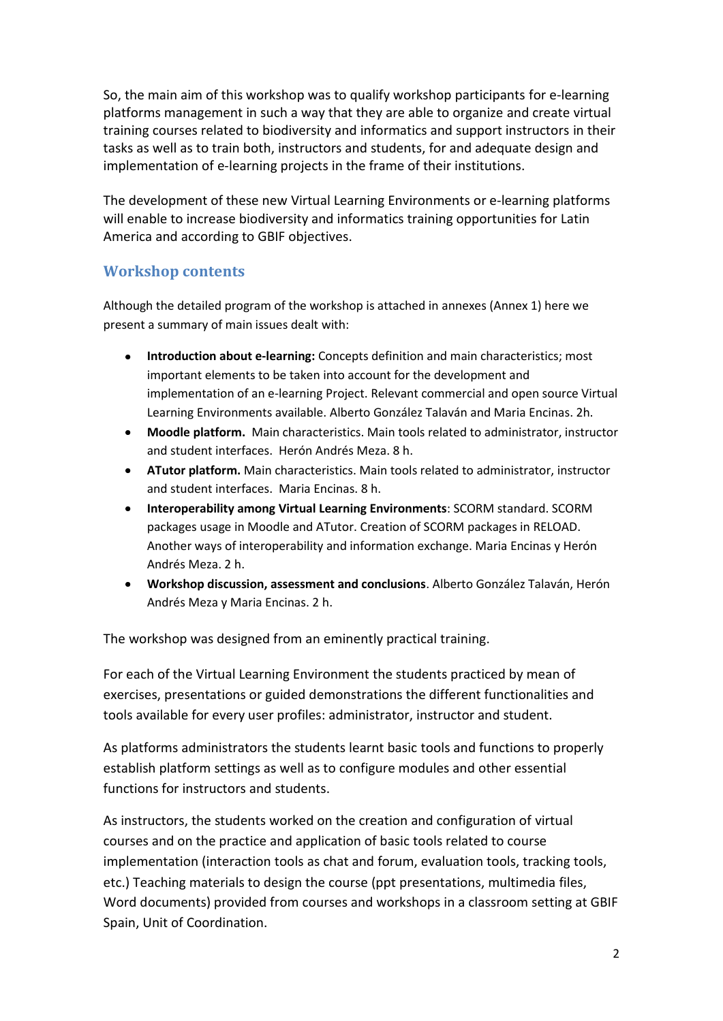So, the main aim of this workshop was to qualify workshop participants for e-learning platforms management in such a way that they are able to organize and create virtual training courses related to biodiversity and informatics and support instructors in their tasks as well as to train both, instructors and students, for and adequate design and implementation of e-learning projects in the frame of their institutions.

The development of these new Virtual Learning Environments or e-learning platforms will enable to increase biodiversity and informatics training opportunities for Latin America and according to GBIF objectives.

## <span id="page-1-0"></span>**Workshop contents**

Although the detailed program of the workshop is attached in annexes (Annex 1) here we present a summary of main issues dealt with:

- **Introduction about e-learning:** Concepts definition and main characteristics; most important elements to be taken into account for the development and implementation of an e-learning Project. Relevant commercial and open source Virtual Learning Environments available. Alberto González Talaván and Maria Encinas. 2h.
- **Moodle platform.** Main characteristics. Main tools related to administrator, instructor and student interfaces. Herón Andrés Meza. 8 h.
- **ATutor platform.** Main characteristics. Main tools related to administrator, instructor and student interfaces. Maria Encinas. 8 h.
- **Interoperability among Virtual Learning Environments**: SCORM standard. SCORM packages usage in Moodle and ATutor. Creation of SCORM packages in RELOAD. Another ways of interoperability and information exchange. Maria Encinas y Herón Andrés Meza. 2 h.
- **Workshop discussion, assessment and conclusions**. Alberto González Talaván, Herón Andrés Meza y Maria Encinas. 2 h.

The workshop was designed from an eminently practical training.

For each of the Virtual Learning Environment the students practiced by mean of exercises, presentations or guided demonstrations the different functionalities and tools available for every user profiles: administrator, instructor and student.

As platforms administrators the students learnt basic tools and functions to properly establish platform settings as well as to configure modules and other essential functions for instructors and students.

As instructors, the students worked on the creation and configuration of virtual courses and on the practice and application of basic tools related to course implementation (interaction tools as chat and forum, evaluation tools, tracking tools, etc.) Teaching materials to design the course (ppt presentations, multimedia files, Word documents) provided from courses and workshops in a classroom setting at GBIF Spain, Unit of Coordination.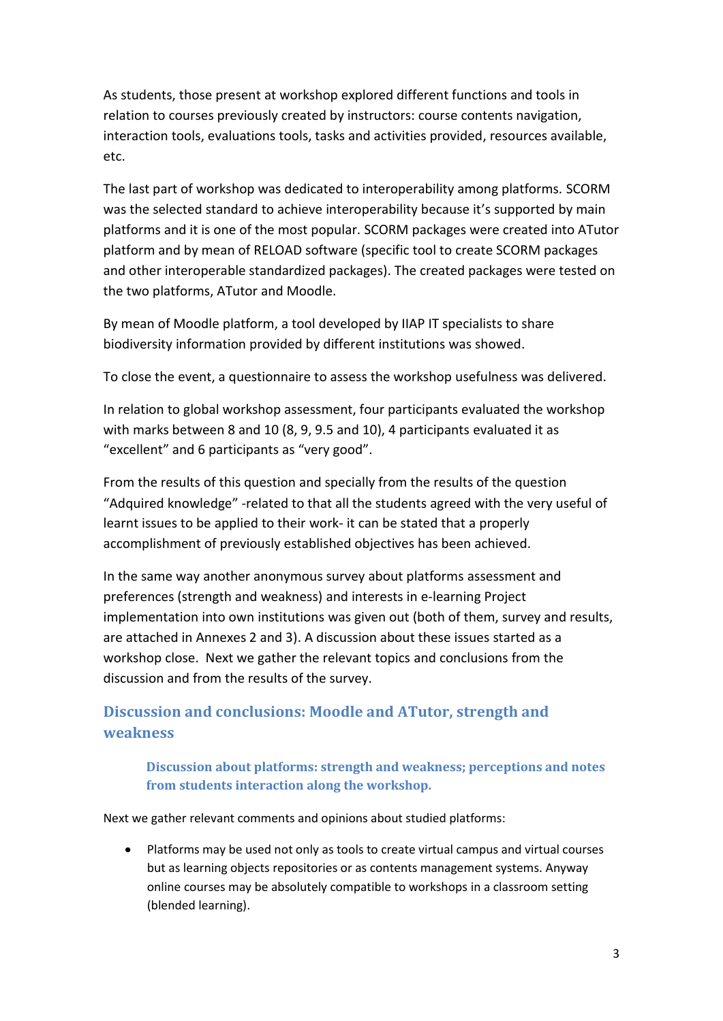As students, those present at workshop explored different functions and tools in relation to courses previously created by instructors: course contents navigation, interaction tools, evaluations tools, tasks and activities provided, resources available, etc.

The last part of workshop was dedicated to interoperability among platforms. SCORM was the selected standard to achieve interoperability because it's supported by main platforms and it is one of the most popular. SCORM packages were created into ATutor platform and by mean of RELOAD software (specific tool to create SCORM packages and other interoperable standardized packages). The created packages were tested on the two platforms, ATutor and Moodle.

By mean of Moodle platform, a tool developed by IIAP IT specialists to share biodiversity information provided by different institutions was showed.

To close the event, a questionnaire to assess the workshop usefulness was delivered.

In relation to global workshop assessment, four participants evaluated the workshop with marks between 8 and 10 (8, 9, 9.5 and 10), 4 participants evaluated it as "excellent" and 6 participants as "very good".

From the results of this question and specially from the results of the question "Adquired knowledge" -related to that all the students agreed with the very useful of learnt issues to be applied to their work- it can be stated that a properly accomplishment of previously established objectives has been achieved.

In the same way another anonymous survey about platforms assessment and preferences (strength and weakness) and interests in e-learning Project implementation into own institutions was given out (both of them, survey and results, are attached in Annexes 2 and 3). A discussion about these issues started as a workshop close. Next we gather the relevant topics and conclusions from the discussion and from the results of the survey.

## <span id="page-2-0"></span>**Discussion and conclusions: Moodle and ATutor, strength and weakness**

<span id="page-2-1"></span>**Discussion about platforms: strength and weakness; perceptions and notes from students interaction along the workshop.** 

Next we gather relevant comments and opinions about studied platforms:

Platforms may be used not only as tools to create virtual campus and virtual courses but as learning objects repositories or as contents management systems. Anyway online courses may be absolutely compatible to workshops in a classroom setting (blended learning).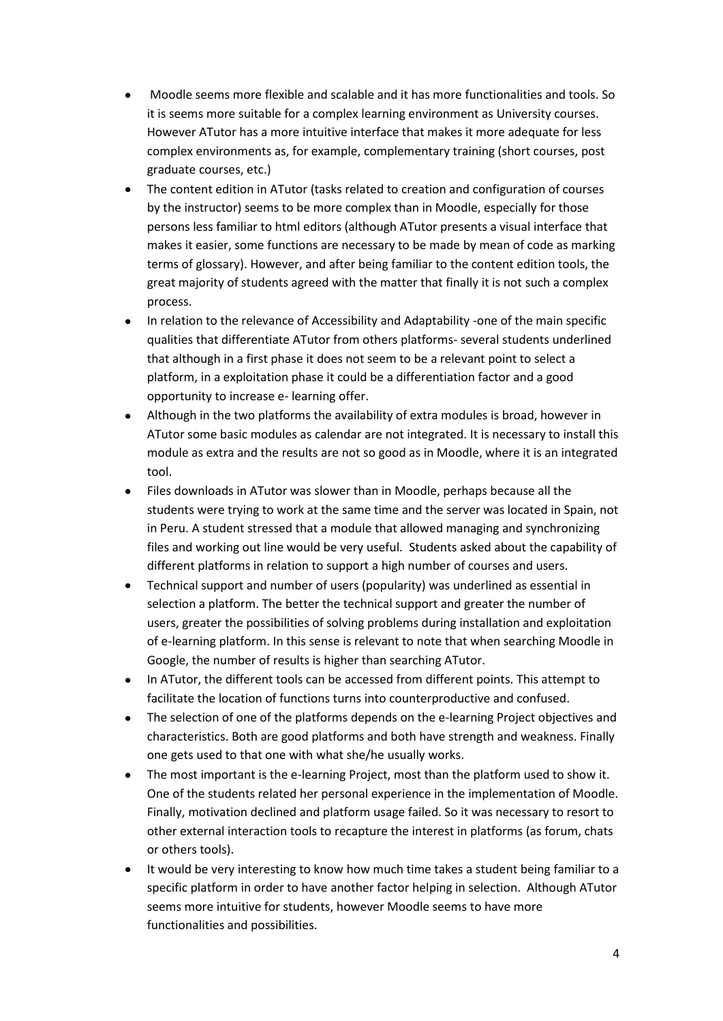- Moodle seems more flexible and scalable and it has more functionalities and tools. So it is seems more suitable for a complex learning environment as University courses. However ATutor has a more intuitive interface that makes it more adequate for less complex environments as, for example, complementary training (short courses, post graduate courses, etc.)
- The content edition in ATutor (tasks related to creation and configuration of courses by the instructor) seems to be more complex than in Moodle, especially for those persons less familiar to html editors (although ATutor presents a visual interface that makes it easier, some functions are necessary to be made by mean of code as marking terms of glossary). However, and after being familiar to the content edition tools, the great majority of students agreed with the matter that finally it is not such a complex process.
- In relation to the relevance of Accessibility and Adaptability -one of the main specific qualities that differentiate ATutor from others platforms- several students underlined that although in a first phase it does not seem to be a relevant point to select a platform, in a exploitation phase it could be a differentiation factor and a good opportunity to increase e- learning offer.
- Although in the two platforms the availability of extra modules is broad, however in ATutor some basic modules as calendar are not integrated. It is necessary to install this module as extra and the results are not so good as in Moodle, where it is an integrated tool.
- Files downloads in ATutor was slower than in Moodle, perhaps because all the students were trying to work at the same time and the server was located in Spain, not in Peru. A student stressed that a module that allowed managing and synchronizing files and working out line would be very useful. Students asked about the capability of different platforms in relation to support a high number of courses and users.
- Technical support and number of users (popularity) was underlined as essential in  $\bullet$ selection a platform. The better the technical support and greater the number of users, greater the possibilities of solving problems during installation and exploitation of e-learning platform. In this sense is relevant to note that when searching Moodle in Google, the number of results is higher than searching ATutor.
- In ATutor, the different tools can be accessed from different points. This attempt to facilitate the location of functions turns into counterproductive and confused.
- The selection of one of the platforms depends on the e-learning Project objectives and characteristics. Both are good platforms and both have strength and weakness. Finally one gets used to that one with what she/he usually works.
- The most important is the e-learning Project, most than the platform used to show it. One of the students related her personal experience in the implementation of Moodle. Finally, motivation declined and platform usage failed. So it was necessary to resort to other external interaction tools to recapture the interest in platforms (as forum, chats or others tools).
- It would be very interesting to know how much time takes a student being familiar to a specific platform in order to have another factor helping in selection. Although ATutor seems more intuitive for students, however Moodle seems to have more functionalities and possibilities.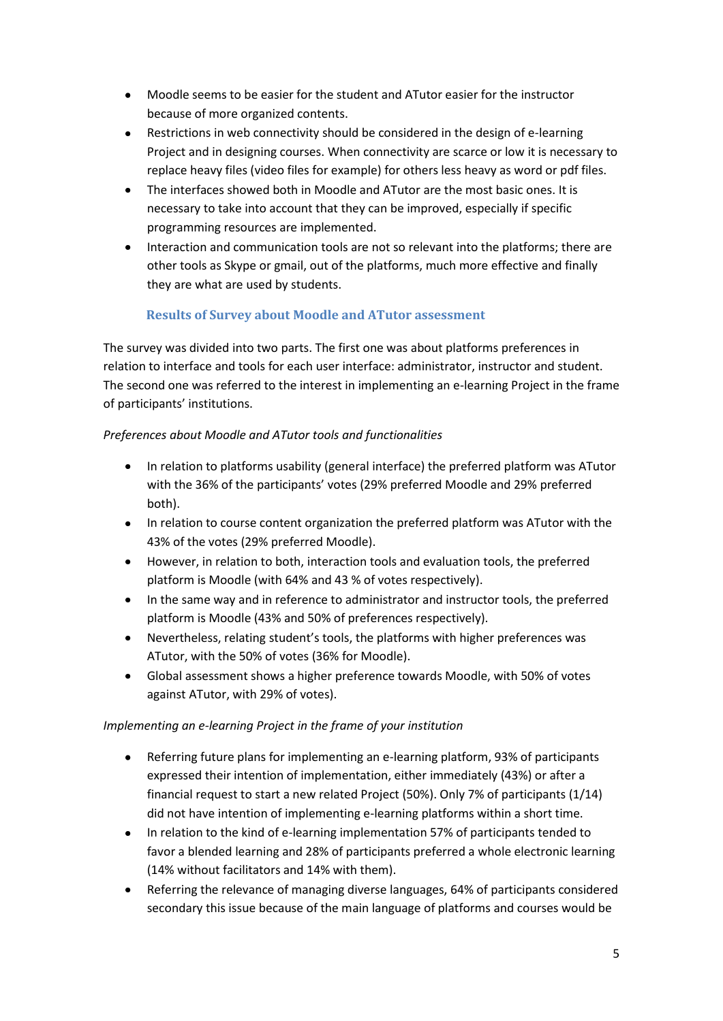- Moodle seems to be easier for the student and ATutor easier for the instructor because of more organized contents.
- Restrictions in web connectivity should be considered in the design of e-learning Project and in designing courses. When connectivity are scarce or low it is necessary to replace heavy files (video files for example) for others less heavy as word or pdf files.
- The interfaces showed both in Moodle and ATutor are the most basic ones. It is necessary to take into account that they can be improved, especially if specific programming resources are implemented.
- Interaction and communication tools are not so relevant into the platforms; there are other tools as Skype or gmail, out of the platforms, much more effective and finally they are what are used by students.

### **Results of Survey about Moodle and ATutor assessment**

<span id="page-4-0"></span>The survey was divided into two parts. The first one was about platforms preferences in relation to interface and tools for each user interface: administrator, instructor and student. The second one was referred to the interest in implementing an e-learning Project in the frame of participants' institutions.

### *Preferences about Moodle and ATutor tools and functionalities*

- In relation to platforms usability (general interface) the preferred platform was ATutor with the 36% of the participants' votes (29% preferred Moodle and 29% preferred both).
- In relation to course content organization the preferred platform was ATutor with the 43% of the votes (29% preferred Moodle).
- However, in relation to both, interaction tools and evaluation tools, the preferred platform is Moodle (with 64% and 43 % of votes respectively).
- In the same way and in reference to administrator and instructor tools, the preferred platform is Moodle (43% and 50% of preferences respectively).
- Nevertheless, relating student's tools, the platforms with higher preferences was ATutor, with the 50% of votes (36% for Moodle).
- Global assessment shows a higher preference towards Moodle, with 50% of votes against ATutor, with 29% of votes).

### *Implementing an e-learning Project in the frame of your institution*

- Referring future plans for implementing an e-learning platform, 93% of participants expressed their intention of implementation, either immediately (43%) or after a financial request to start a new related Project (50%). Only 7% of participants (1/14) did not have intention of implementing e-learning platforms within a short time.
- In relation to the kind of e-learning implementation 57% of participants tended to favor a blended learning and 28% of participants preferred a whole electronic learning (14% without facilitators and 14% with them).
- Referring the relevance of managing diverse languages, 64% of participants considered secondary this issue because of the main language of platforms and courses would be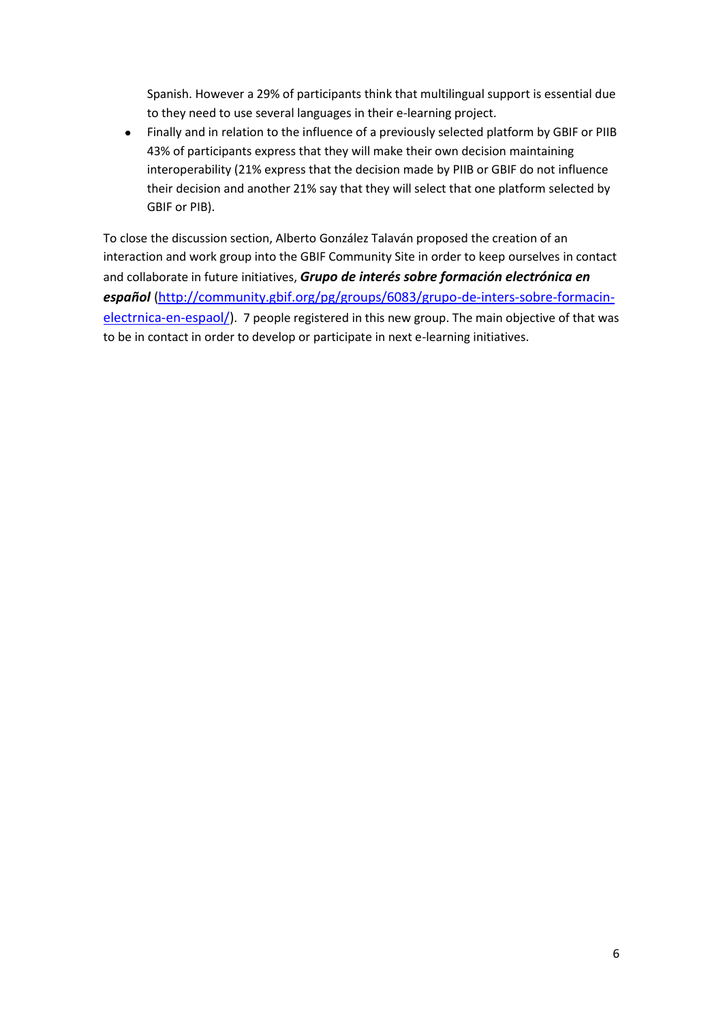Spanish. However a 29% of participants think that multilingual support is essential due to they need to use several languages in their e-learning project.

Finally and in relation to the influence of a previously selected platform by GBIF or PIIB  $\bullet$ 43% of participants express that they will make their own decision maintaining interoperability (21% express that the decision made by PIIB or GBIF do not influence their decision and another 21% say that they will select that one platform selected by GBIF or PIB).

To close the discussion section, Alberto González Talaván proposed the creation of an interaction and work group into the GBIF Community Site in order to keep ourselves in contact and collaborate in future initiatives, *Grupo de interés sobre formación electrónica en español* [\(http://community.gbif.org/pg/groups/6083/grupo-de-inters-sobre-formacin](http://community.gbif.org/pg/groups/6083/grupo-de-inters-sobre-formacin-electrnica-en-espaol/)[electrnica-en-espaol/\)](http://community.gbif.org/pg/groups/6083/grupo-de-inters-sobre-formacin-electrnica-en-espaol/). 7 people registered in this new group. The main objective of that was to be in contact in order to develop or participate in next e-learning initiatives.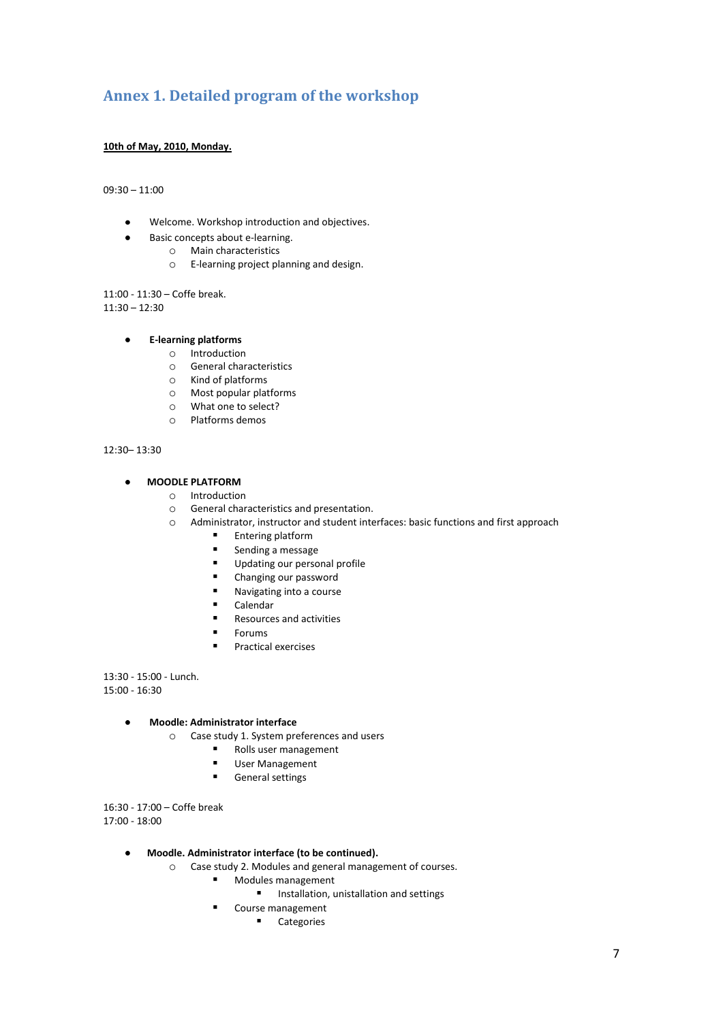## <span id="page-6-0"></span>**Annex 1. Detailed program of the workshop**

### **10th of May, 2010, Monday.**

09:30 – 11:00

- Welcome. Workshop introduction and objectives.  $\bullet$
- Basic concepts about e-learning.  $\bullet$ 
	- o Main characteristics
		- o E-learning project planning and design.

11:00 - 11:30 – Coffe break.  $11:30 - 12:30$ 

#### **E-learning platforms**  $\bullet$

- o Introduction
- o General characteristics
- o Kind of platforms
- o Most popular platforms
- o What one to select?
- o Platforms demos

### 12:30– 13:30

#### **MOODLE PLATFORM**  $\bullet$

- o Introduction
- o General characteristics and presentation.
- o Administrator, instructor and student interfaces: basic functions and first approach
	- **Entering platform**
	- **Sending a message**
	- Updating our personal profile<br>■ Changing our password
	- Changing our password
	- Navigating into a course
	- **Calendar**
	- **Resources and activities**
	- **Forums**
	- **Practical exercises**

13:30 - 15:00 - Lunch. 15:00 - 16:30

#### **Moodle: Administrator interface**  $\bullet$

- o Case study 1. System preferences and users
	- Rolls user management
	- User Management
	- **General settings**

16:30 - 17:00 – Coffe break 17:00 - 18:00

- **Moodle. Administrator interface (to be continued).**   $\bullet$ 
	- o Case study 2. Modules and general management of courses.
		- **Modules management** 
			- **Installation, unistallation and settings**
		- **Course management** 
			- **Categories**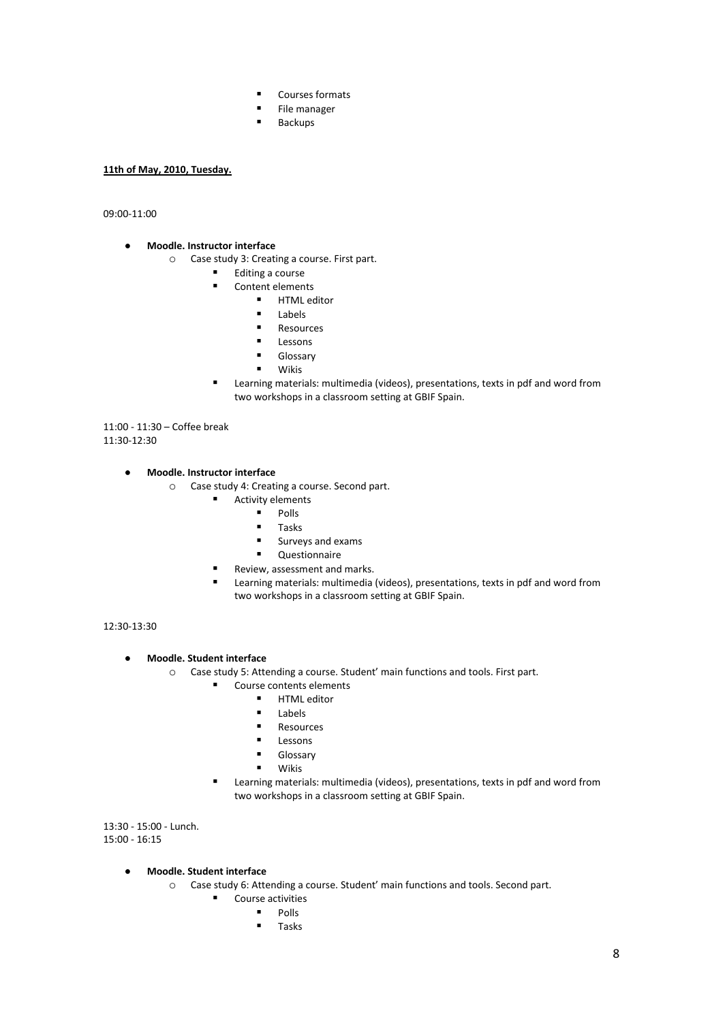- Courses formats
- **File manager**
- **Backups**

### **11th of May, 2010, Tuesday.**

09:00-11:00

- **Moodle. Instructor interface**  $\bullet$ 
	- o Case study 3: Creating a course. First part.
		- Editing a course
			- Content elements
				- **HTML** editor
				- **Labels**
				- **Resources**
				- **Lessons**<br>Lessons
				- Glossary
				- Wikis
		- Learning materials: multimedia (videos), presentations, texts in pdf and word from two workshops in a classroom setting at GBIF Spain.

11:00 - 11:30 – Coffee break 11:30-12:30

#### $\overline{a}$ **Moodle. Instructor interface**

- o Case study 4: Creating a course. Second part.
	- **Activity elements** 
		- $\blacksquare$  Polls
		- $\blacksquare$  Tasks
		- $\blacksquare$  Surveys and exams
		- **-** Questionnaire
		- Review, assessment and marks.
	- Learning materials: multimedia (videos), presentations, texts in pdf and word from two workshops in a classroom setting at GBIF Spain.

12:30-13:30

#### **Moodle. Student interface**  $\bullet$

- o Case study 5: Attending a course. Student' main functions and tools. First part.
	- Course contents elements
		- HTML editor
			- Labels
			- Resources
			- Lessons
			- Glossary
			- Wikis
	- Learning materials: multimedia (videos), presentations, texts in pdf and word from two workshops in a classroom setting at GBIF Spain.

13:30 - 15:00 - Lunch. 15:00 - 16:15

### **Moodle. Student interface**

- o Case study 6: Attending a course. Student' main functions and tools. Second part.
	- Course activities
		- Polls
		- Tasks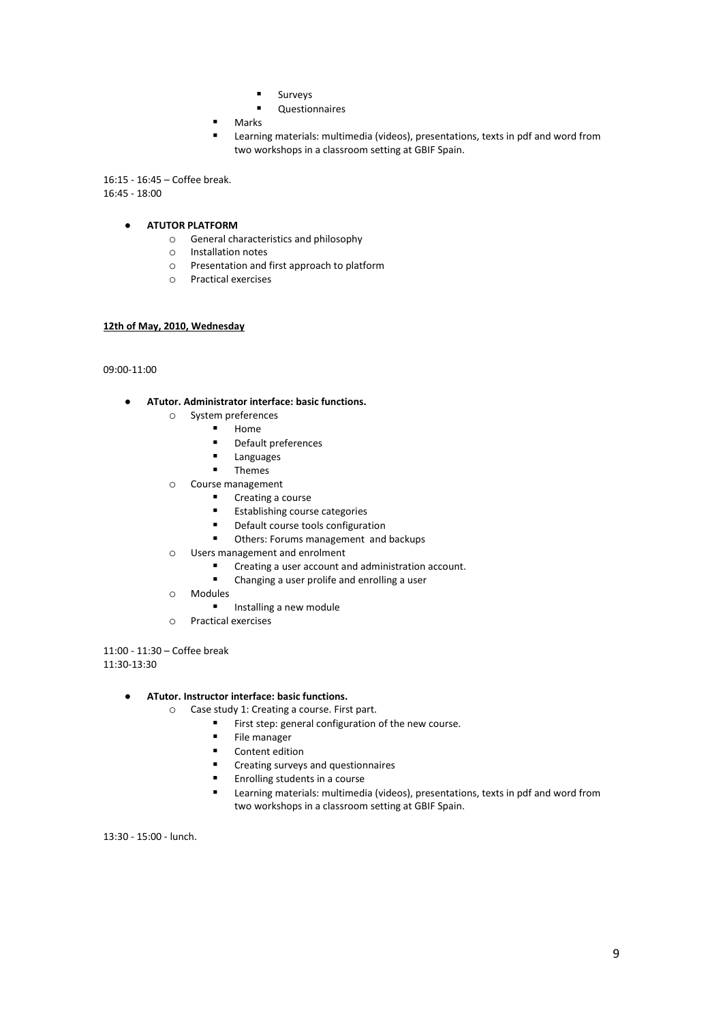- **Surveys**
- **-** Questionnaires
- Marks
- Learning materials: multimedia (videos), presentations, texts in pdf and word from two workshops in a classroom setting at GBIF Spain.

16:15 - 16:45 – Coffee break. 16:45 - 18:00

#### **ATUTOR PLATFORM**  $\bullet$

- o General characteristics and philosophy
- o Installation notes
- o Presentation and first approach to platform
- o Practical exercises

### **12th of May, 2010, Wednesday**

09:00-11:00

#### **ATutor. Administrator interface: basic functions.**  $\bullet$

- o System preferences
	- **Home**
	- Default preferences
	- Languages
	- **Themes**
- o Course management
	- **Creating a course**
	- **Establishing course categories**
	- **•** Default course tools configuration
	- **Others: Forums management and backups**
- o Users management and enrolment
	- Creating a user account and administration account.<br>■ Changing a user prolife and enrolling a user
		- Changing a user prolife and enrolling a user
	- o Modules
		- **Installing a new module**
	- o Practical exercises

11:00 - 11:30 – Coffee break 11:30-13:30

#### **ATutor. Instructor interface: basic functions.**  $\bullet$

- o Case study 1: Creating a course. First part.
	- First step: general configuration of the new course.<br>File manager
	- File manager<br>■ Content editi
	- Content edition
	- **EXECT** Creating surveys and questionnaires
	- **Enrolling students in a course**
	- Learning materials: multimedia (videos), presentations, texts in pdf and word from two workshops in a classroom setting at GBIF Spain.

13:30 - 15:00 - lunch.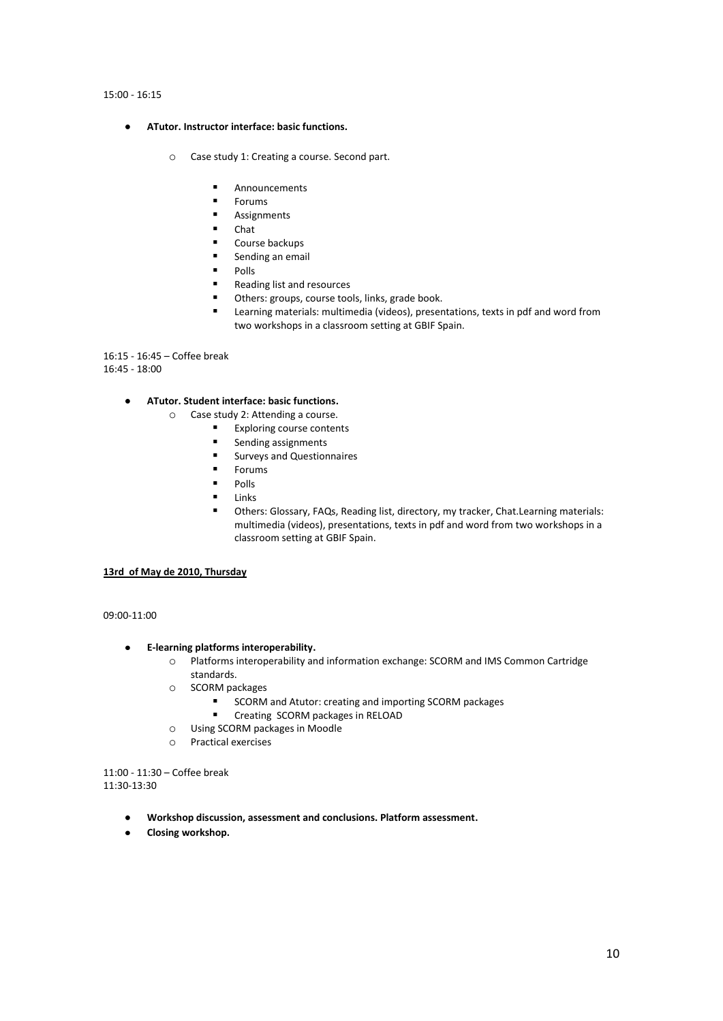### 15:00 - 16:15

- $\bullet$ **ATutor. Instructor interface: basic functions.**
	- o Case study 1: Creating a course. Second part.
		- Announcements
		- Forums
		- Assignments
		- Chat
		- Course backups
		- **Sending an email**
		- **Polls**
		- Reading list and resources
		- Others: groups, course tools, links, grade book.
		- Learning materials: multimedia (videos), presentations, texts in pdf and word from two workshops in a classroom setting at GBIF Spain.

16:15 - 16:45 – Coffee break 16:45 - 18:00

#### **ATutor. Student interface: basic functions.**  $\bullet$

- o Case study 2: Attending a course.
	- **Exploring course contents**
	- **Sending assignments**
	- **EXECUTE:** Surveys and Questionnaires
	- **Forums**
	- $Polls$
	- Links
	- Others: Glossary, FAQs, Reading list, directory, my tracker, Chat.Learning materials: multimedia (videos), presentations, texts in pdf and word from two workshops in a classroom setting at GBIF Spain.

### **13rd of May de 2010, Thursday**

09:00-11:00

#### $\bullet$ **E-learning platforms interoperability.**

- o Platforms interoperability and information exchange: SCORM and IMS Common Cartridge standards.
- o SCORM packages
	- SCORM and Atutor: creating and importing SCORM packages
	- **E** Creating SCORM packages in RELOAD
- o Using SCORM packages in Moodle
- o Practical exercises

11:00 - 11:30 – Coffee break 11:30-13:30

- **Workshop discussion, assessment and conclusions. Platform assessment.**
- **Closing workshop.** $\bullet$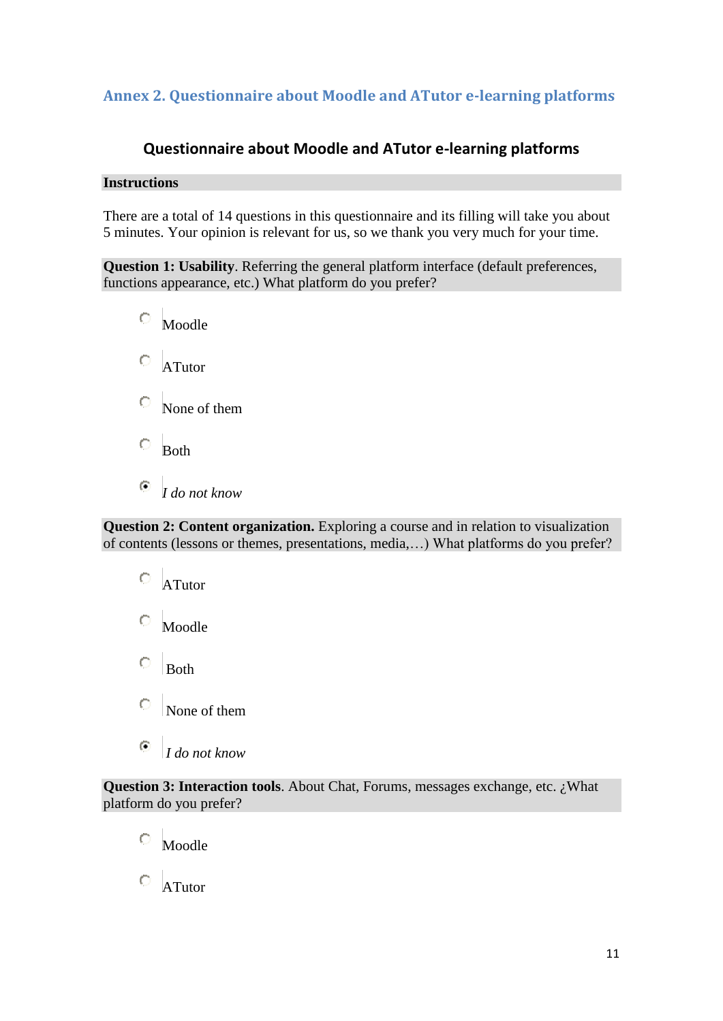## <span id="page-10-0"></span>**Annex 2. Questionnaire about Moodle and ATutor e-learning platforms**

## **Questionnaire about Moodle and ATutor e-learning platforms**

### **Instructions**

There are a total of 14 questions in this questionnaire and its filling will take you about 5 minutes. Your opinion is relevant for us, so we thank you very much for your time.

**Question 1: Usability**. Referring the general platform interface (default preferences, functions appearance, etc.) What platform do you prefer?

 $\circ$  Moodle  $\overline{\phantom{a}}$  ATutor None of them  $\overline{\phantom{a}}$  Both

 $\bullet$ *I do not know*

**Question 2: Content organization.** Exploring a course and in relation to visualization of contents (lessons or themes, presentations, media,…) What platforms do you prefer?

 $\circ$  ATutor  $\circ$  Moodle О. Both  $\bullet$ None of them  $\left( \cdot \right)$ *I do not know*

**Question 3: Interaction tools**. About Chat, Forums, messages exchange, etc. ¿What platform do you prefer?

Moodle

 $\overline{O}$  ATutor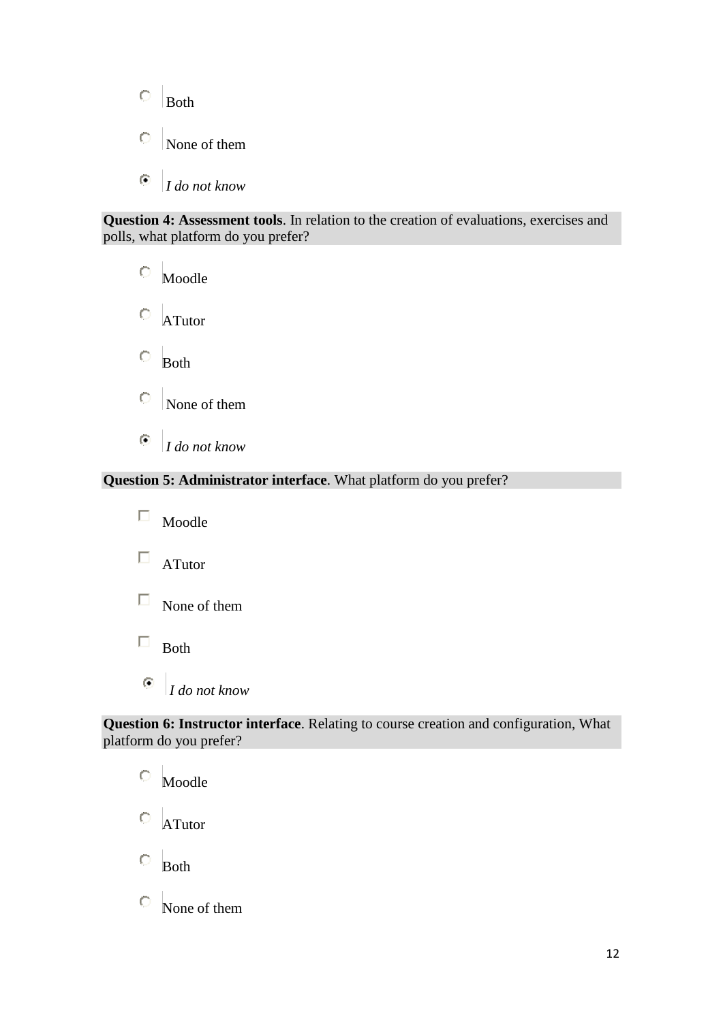- $\bigcirc$ Both
- $\circ$ None of them
- $\odot$ *I do not know*

**Question 4: Assessment tools**. In relation to the creation of evaluations, exercises and polls, what platform do you prefer?

 $\circ$ Moodle

 $\circ$  ATutor

 $\circ$ Both

- $\bullet$ None of them
- $\odot$ *I do not know*

### **Question 5: Administrator interface**. What platform do you prefer?

 $\Box$ Moodle

 $\Box$  ATutor

- $\Box$  None of them
- $\Box$  Both
- $\bullet$ *I do not know*

### **Question 6: Instructor interface**. Relating to course creation and configuration, What platform do you prefer?

0 Moodle  $\circ$  ATutor  $\circ$  Both None of them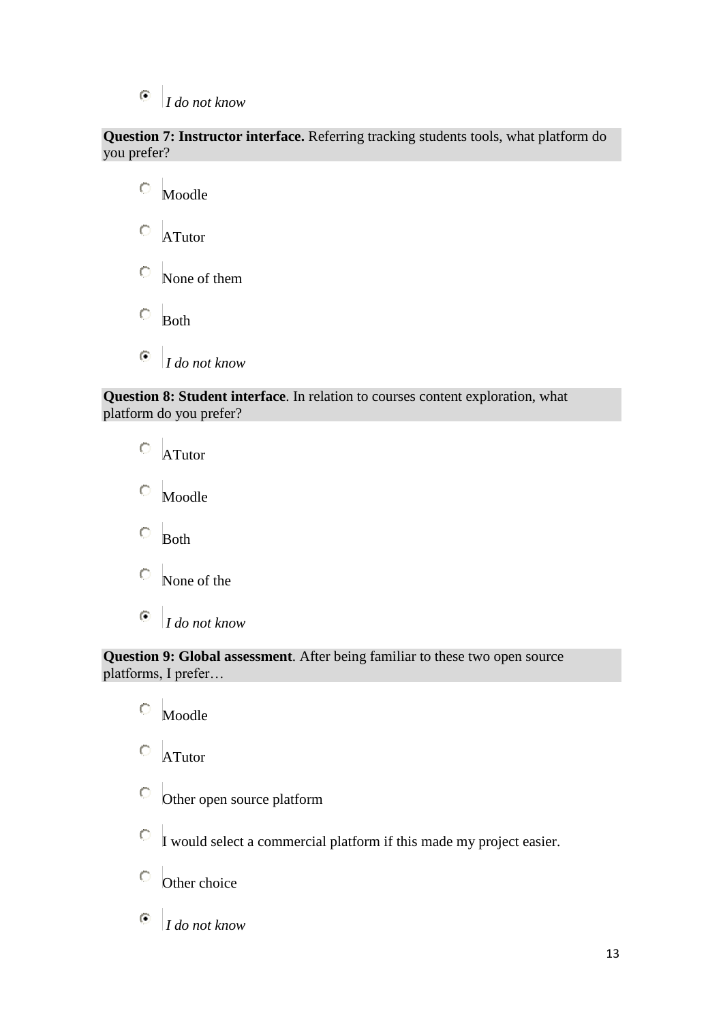### $\odot$ *I do not know*

**Question 7: Instructor interface.** Referring tracking students tools, what platform do you prefer?

 $\circ$ Moodle  $\circ$ ATutor None of them  $\circ$ Both  $\overline{(\bullet)}$ *I do not know*

### **Question 8: Student interface**. In relation to courses content exploration, what platform do you prefer?

 $\circ$ ATutor  $\bigcirc$ Moodle  $\bigcirc$ Both None of the

 $\odot$ *I do not know*

**Question 9: Global assessment**. After being familiar to these two open source platforms, I prefer…

 $\circ$ Moodle  $\circ$  ATutor  $\mathbb{O}^-$ Other open source platform  $\overline{C}$  I would select a commercial platform if this made my project easier.  $\overline{\text{O}}$  Other choice  $\odot$ *I do not know*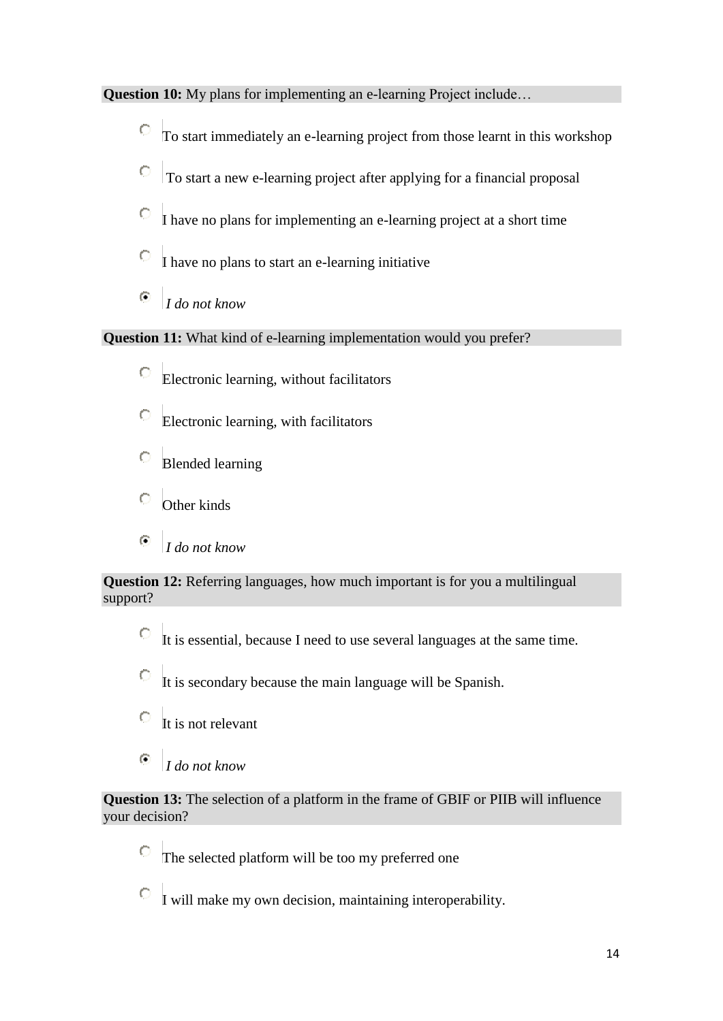**Question 10:** My plans for implementing an e-learning Project include...

- To start immediately an e-learning project from those learnt in this workshop
- $\circ$ To start a new e-learning project after applying for a financial proposal
- 0 I have no plans for implementing an e-learning project at a short time
- $\circ$ I have no plans to start an e-learning initiative
- $\odot$ *I do not know*

**Question 11:** What kind of e-learning implementation would you prefer?

- Electronic learning, without facilitators
- $\circ$ Electronic learning, with facilitators
- $\circ$ Blended learning
- 0 Other kinds
- $\odot$ *I do not know*

**Question 12:** Referring languages, how much important is for you a multilingual support?

 $\circ$ It is essential, because I need to use several languages at the same time.

 $\circ$ It is secondary because the main language will be Spanish.

- $\circ$ It is not relevant
- $\odot$ *I do not know*

**Question 13:** The selection of a platform in the frame of GBIF or PIIB will influence your decision?

 $\circ$ The selected platform will be too my preferred one

 $\overline{C}$  I will make my own decision, maintaining interoperability.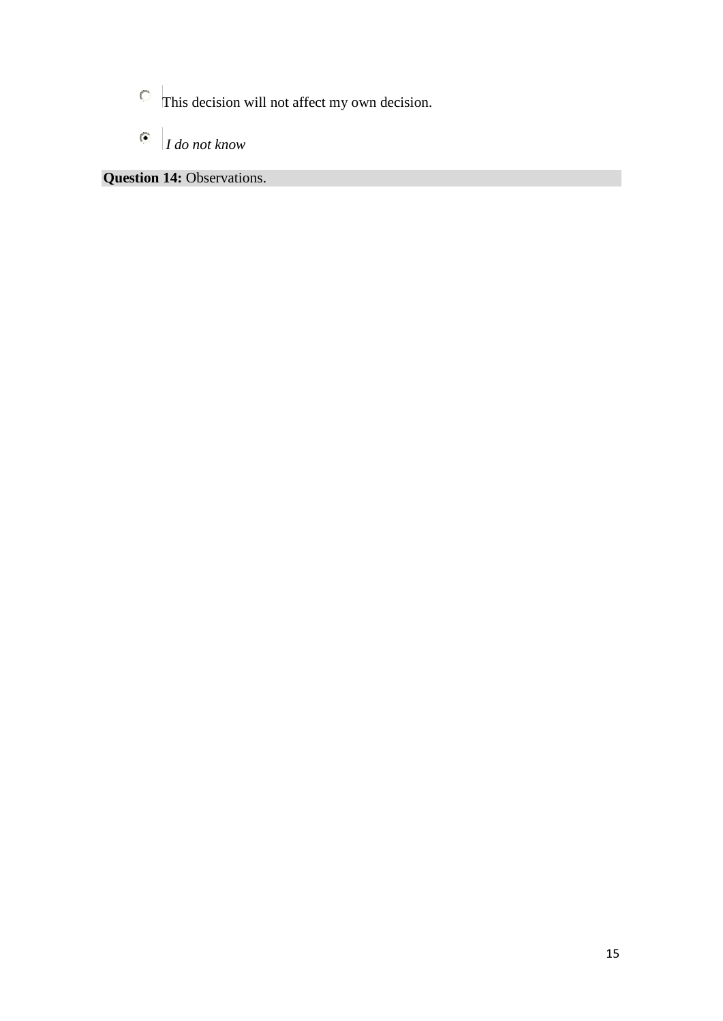- This decision will not affect my own decision.
- $\overline{\odot}$ *I do not know*

**Question 14: Observations.**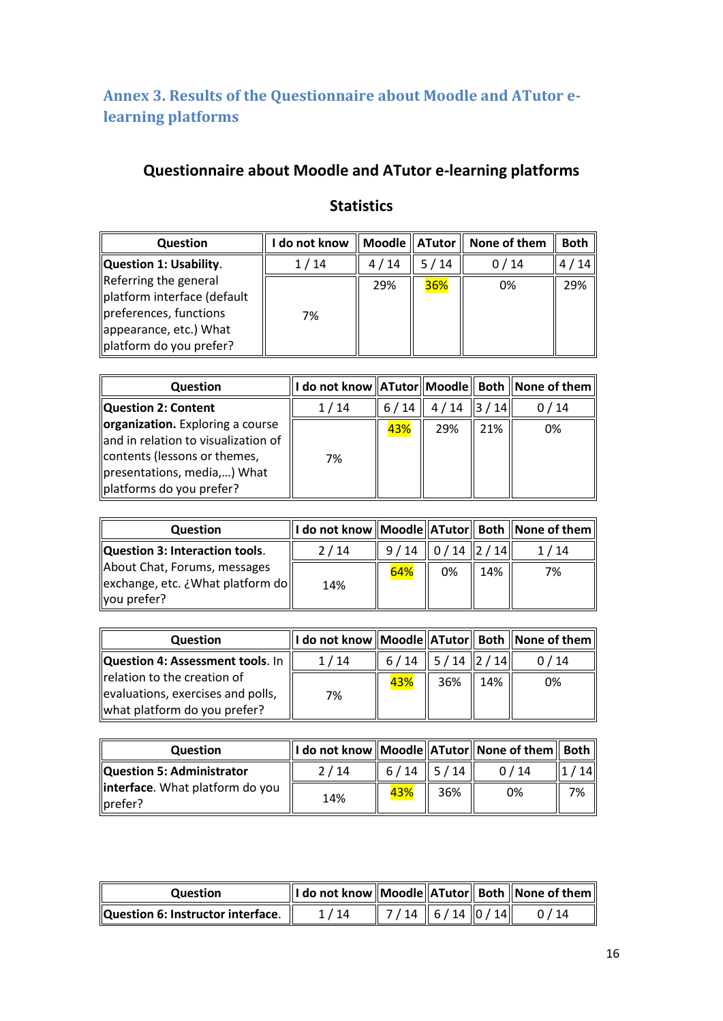<span id="page-15-0"></span>**Annex 3. Results of the Questionnaire about Moodle and ATutor elearning platforms**

## **Questionnaire about Moodle and ATutor e-learning platforms**

|  | <b>Statistics</b> |
|--|-------------------|
|  |                   |

| <b>Question</b>                                                                                                                     | do not know |      |      | $\parallel$ Moodle $\parallel$ ATutor $\parallel$ None of them | <b>Both</b> |
|-------------------------------------------------------------------------------------------------------------------------------------|-------------|------|------|----------------------------------------------------------------|-------------|
| Question 1: Usability.                                                                                                              | 1/14        | 4/14 | 5/14 | 0/14                                                           | 4/14        |
| Referring the general<br>platform interface (default<br>preferences, functions<br>appearance, etc.) What<br>platform do you prefer? | 7%          | 29%  | 36%  | 0%                                                             | 29%         |

| <b>Question</b>                                                                                                                                                    |      |      |             |     | do not know  ATutor  Moodle   Both    None of them |
|--------------------------------------------------------------------------------------------------------------------------------------------------------------------|------|------|-------------|-----|----------------------------------------------------|
| Question 2: Content                                                                                                                                                | 1/14 | 6/14 | $4/14$ 3/14 |     | 0/14                                               |
| organization. Exploring a course<br>and in relation to visualization of<br>contents (lessons or themes,<br>presentations, media,) What<br>platforms do you prefer? | 7%   | 43%  | 29%         | 21% | 0%                                                 |

| Question                                                                          |      |                      |    |     | $\parallel$ I do not know $\parallel$ Moodle $\parallel$ ATutor $\parallel$ Both $\parallel$ None of them $\parallel$ |
|-----------------------------------------------------------------------------------|------|----------------------|----|-----|-----------------------------------------------------------------------------------------------------------------------|
| Question 3: Interaction tools.                                                    | 2/14 | $9/14$   0/14   2/14 |    |     | 1/14                                                                                                                  |
| About Chat, Forums, messages<br>  exchange, etc. ¿What platform do<br>vou prefer? | 14%  | 64%                  | 0% | 14% | 7%                                                                                                                    |

| <b>Question</b>                                                                                  |      |                          |           | $\parallel$ I do not know $\parallel$ Moodle $\parallel$ ATutor $\parallel$ Both $\parallel$ None of them $\parallel$ |
|--------------------------------------------------------------------------------------------------|------|--------------------------|-----------|-----------------------------------------------------------------------------------------------------------------------|
| <b>Question 4: Assessment tools</b> . In                                                         | 1/14 | $6/14$   $5/14$   $2/14$ |           | 0/14                                                                                                                  |
| relation to the creation of<br>evaluations, exercises and polls,<br>what platform do you prefer? | 7%   | 43%                      | 36%   14% | 0%                                                                                                                    |

| <b>Question</b>                            |      |        |                  |      |                  |
|--------------------------------------------|------|--------|------------------|------|------------------|
| Question 5: Administrator                  | 2/14 | $6/14$ | $\parallel$ 5/14 | 0/14 | 14 <sup>  </sup> |
| interface. What platform do you<br>prefer? | 14%  | 43%    | 36%              | 0%   | 7%               |

| <b>Question</b>                   |    |                                                                |  | I do not know    Moodle    ATutor    Both    None of them |
|-----------------------------------|----|----------------------------------------------------------------|--|-----------------------------------------------------------|
| Question 6: Instructor interface. | 14 | $\parallel$ 7/14 $\parallel$ 6/14 $\parallel$ 0/14 $\parallel$ |  | 0/14                                                      |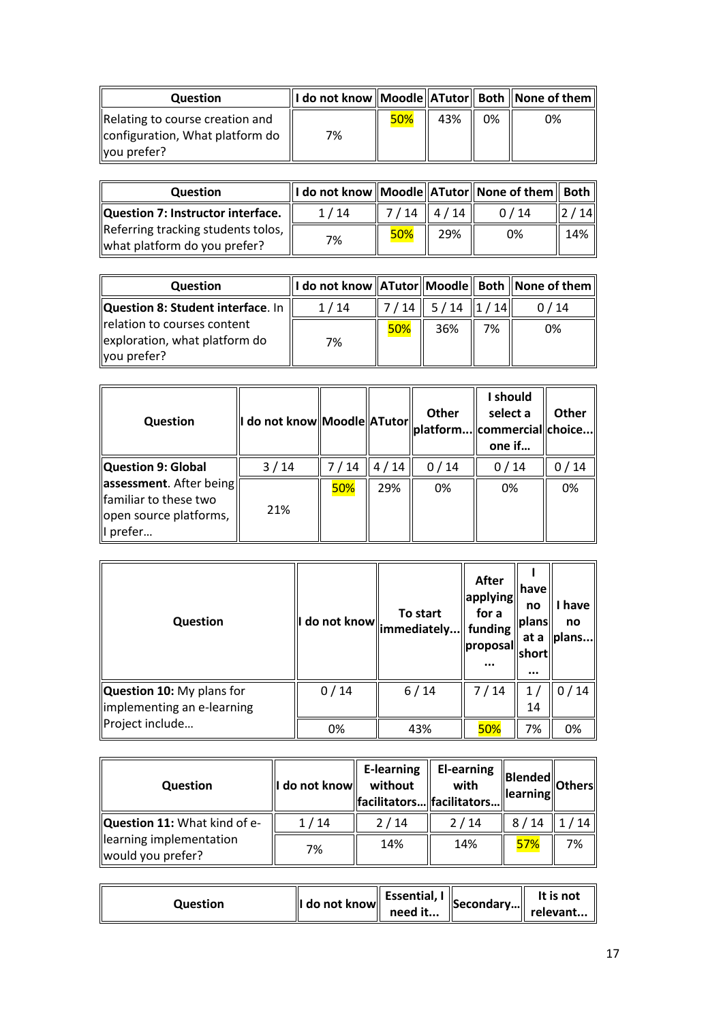| Question                                                                            |    |     |     |    |    |
|-------------------------------------------------------------------------------------|----|-----|-----|----|----|
| Relating to course creation and<br>configuration, What platform do<br>  you prefer? | 7% | 50% | 43% | 0% | 0% |

| <b>Question</b>                                                      | I do not know    Moodle    ATutor    None of them    Both |               |     |      |     |
|----------------------------------------------------------------------|-----------------------------------------------------------|---------------|-----|------|-----|
| Question 7: Instructor interface.                                    | 1/14                                                      | $7/14$   4/14 |     | 0/14 | 14  |
| Referring tracking students tolos,  <br>what platform do you prefer? | 7%                                                        | 50%           | 29% | 0%   | 14% |

| Question                                                                    | $\parallel$ I do not know $\parallel$ ATutor $\parallel$ Moodle $\parallel$ Both $\parallel$ None of them $\parallel$ |     |                                                                |    |      |
|-----------------------------------------------------------------------------|-----------------------------------------------------------------------------------------------------------------------|-----|----------------------------------------------------------------|----|------|
| Question 8: Student interface. In                                           | 1/14                                                                                                                  |     | $\parallel$ 7/14 $\parallel$ 5/14 $\parallel$ 1/14 $\parallel$ |    | 0/14 |
| relation to courses content<br>exploration, what platform do<br>you prefer? | 7%                                                                                                                    | 50% | 36%                                                            | 7% | 0%   |

| <b>Question</b>                                                                         | I do not know Moodle ATutor |        |      | <b>Other</b> | I should<br>select a<br>  platform  commercial  choice  <br>one if | <b>Other</b> |
|-----------------------------------------------------------------------------------------|-----------------------------|--------|------|--------------|--------------------------------------------------------------------|--------------|
| Question 9: Global                                                                      | 3/14                        | 7 / 14 | 4/14 | 0/14         | 0/14                                                               | / 14         |
| assessment. After being<br>familiar to these two<br>open source platforms,<br>II prefer | 21%                         | 50%    | 29%  | 0%           | 0%                                                                 | 0%           |

| <b>Question</b>                                         |      | To start<br>$\mu$ do not know $\left\Vert \text{immediately}\right\Vert$ funding $\mu$ | After<br>applying<br>for a<br>proposal<br> | have <br>no<br><b>Iplans</b><br>at a<br><b>short</b><br>$\cdots$ | have<br>no<br>plans |
|---------------------------------------------------------|------|----------------------------------------------------------------------------------------|--------------------------------------------|------------------------------------------------------------------|---------------------|
| Question 10: My plans for<br>implementing an e-learning | 0/14 | $6/14$                                                                                 | 7/14                                       | 14                                                               | 0/14                |
| Project include                                         | 0%   | 43%                                                                                    | 50%                                        | 7%                                                               | 0%                  |

| <b>Question</b>                              | I do not know | <b>E-learning</b><br>without<br>  facilitators  facilitators | <b>El-earning</b><br>with | Blended<br><b>learning</b> | <b>Others</b> |
|----------------------------------------------|---------------|--------------------------------------------------------------|---------------------------|----------------------------|---------------|
| Question 11: What kind of e-                 | 1/14          | 2/14                                                         | 2/14                      | 8/14                       | 14            |
| learning implementation<br>would you prefer? | 7%            | 14%                                                          | 14%                       | 57%                        | 7%            |

| Question | I do not know | need it | $\parallel$ Essential, I $\parallel$ Secondary $\parallel$ | It is not<br>" relevant |
|----------|---------------|---------|------------------------------------------------------------|-------------------------|
|----------|---------------|---------|------------------------------------------------------------|-------------------------|